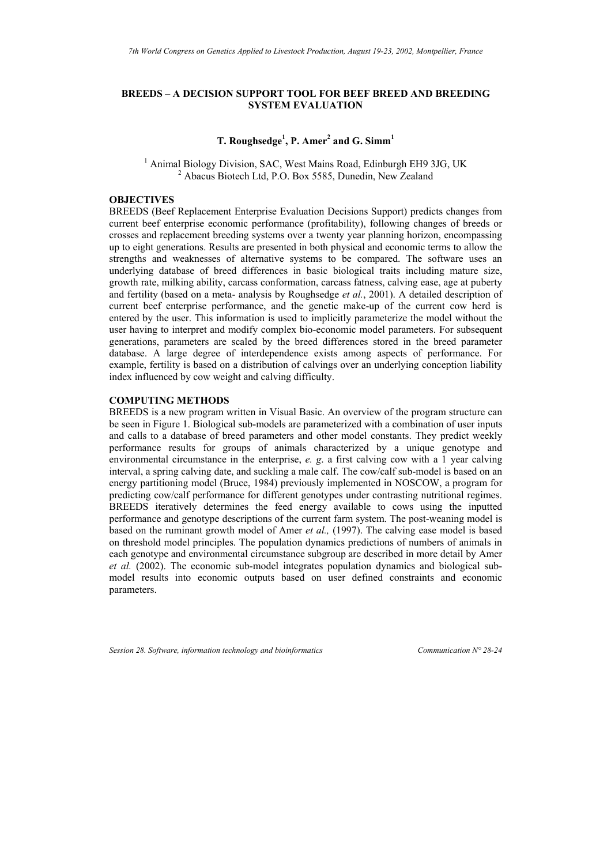### **BREEDS – A DECISION SUPPORT TOOL FOR BEEF BREED AND BREEDING SYSTEM EVALUATION**

# **T. Roughsedge<sup>1</sup> , P. Amer<sup>2</sup> and G. Simm1**

<sup>1</sup> Animal Biology Division, SAC, West Mains Road, Edinburgh EH9 3JG, UK  $\frac{2}{3}$  Above Biotook Ltd, B.O. Boy 5585. Dunodin, Now Zooland <sup>2</sup> Abacus Biotech Ltd, P.O. Box 5585, Dunedin, New Zealand

### **OBJECTIVES**

BREEDS (Beef Replacement Enterprise Evaluation Decisions Support) predicts changes from current beef enterprise economic performance (profitability), following changes of breeds or crosses and replacement breeding systems over a twenty year planning horizon, encompassing up to eight generations. Results are presented in both physical and economic terms to allow the strengths and weaknesses of alternative systems to be compared. The software uses an underlying database of breed differences in basic biological traits including mature size, growth rate, milking ability, carcass conformation, carcass fatness, calving ease, age at puberty and fertility (based on a meta- analysis by Roughsedge *et al.*, 2001). A detailed description of current beef enterprise performance, and the genetic make-up of the current cow herd is entered by the user. This information is used to implicitly parameterize the model without the user having to interpret and modify complex bio-economic model parameters. For subsequent generations, parameters are scaled by the breed differences stored in the breed parameter database. A large degree of interdependence exists among aspects of performance. For example, fertility is based on a distribution of calvings over an underlying conception liability index influenced by cow weight and calving difficulty.

#### **COMPUTING METHODS**

BREEDS is a new program written in Visual Basic. An overview of the program structure can be seen in Figure 1. Biological sub-models are parameterized with a combination of user inputs and calls to a database of breed parameters and other model constants. They predict weekly performance results for groups of animals characterized by a unique genotype and environmental circumstance in the enterprise, *e. g*. a first calving cow with a 1 year calving interval, a spring calving date, and suckling a male calf. The cow/calf sub-model is based on an energy partitioning model (Bruce, 1984) previously implemented in NOSCOW, a program for predicting cow/calf performance for different genotypes under contrasting nutritional regimes. BREEDS iteratively determines the feed energy available to cows using the inputted performance and genotype descriptions of the current farm system. The post-weaning model is based on the ruminant growth model of Amer *et al.,* (1997). The calving ease model is based on threshold model principles. The population dynamics predictions of numbers of animals in each genotype and environmental circumstance subgroup are described in more detail by Amer *et al.* (2002). The economic sub-model integrates population dynamics and biological submodel results into economic outputs based on user defined constraints and economic parameters.

*Session 28. Software, information technology and bioinformatics Communication N° 28-24*